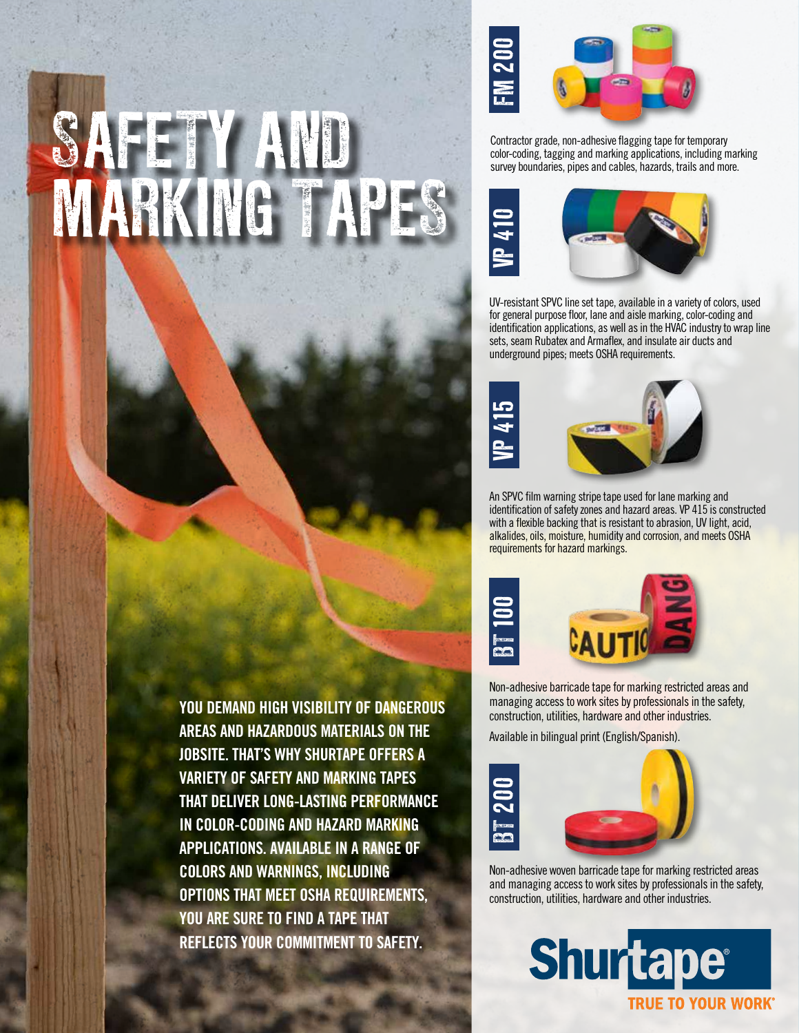## SAFETY AND MARKING TAPES



Contractor grade, non-adhesive flagging tape for temporary color-coding, tagging and marking applications, including marking survey boundaries, pipes and cables, hazards, trails and more.



UV-resistant SPVC line set tape, available in a variety of colors, used for general purpose floor, lane and aisle marking, color-coding and identification applications, as well as in the HVAC industry to wrap line sets, seam Rubatex and Armaflex, and insulate air ducts and underground pipes; meets OSHA requirements.





An SPVC film warning stripe tape used for lane marking and identification of safety zones and hazard areas. VP 415 is constructed with a flexible backing that is resistant to abrasion, UV light, acid, alkalides, oils, moisture, humidity and corrosion, and meets OSHA requirements for hazard markings.





Non-adhesive barricade tape for marking restricted areas and managing access to work sites by professionals in the safety, construction, utilities, hardware and other industries.

Available in bilingual print (English/Spanish).



Non-adhesive woven barricade tape for marking restricted areas and managing access to work sites by professionals in the safety, construction, utilities, hardware and other industries.



**YOU DEMAND HIGH VISIBILITY OF DANGEROUS AREAS AND HAZARDOUS MATERIALS ON THE JOBSITE. THAT'S WHY SHURTAPE OFFERS A VARIETY OF SAFETY AND MARKING TAPES THAT DELIVER LONG-LASTING PERFORMANCE IN COLOR-CODING AND HAZARD MARKING APPLICATIONS. AVAILABLE IN A RANGE OF COLORS AND WARNINGS, INCLUDING OPTIONS THAT MEET OSHA REQUIREMENTS, YOU ARE SURE TO FIND A TAPE THAT REFLECTS YOUR COMMITMENT TO SAFETY.**